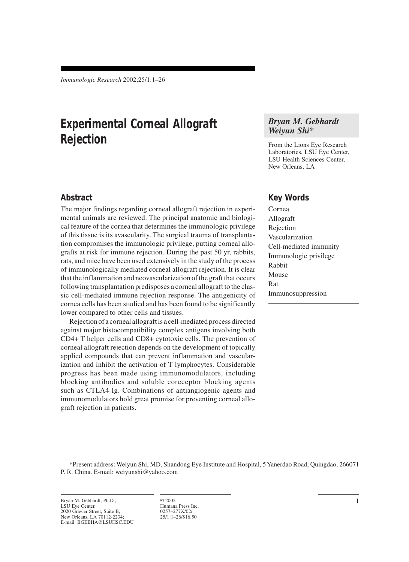# **Experimental Corneal Allograft Rejection**

# **Abstract**

The major findings regarding corneal allograft rejection in experimental animals are reviewed. The principal anatomic and biological feature of the cornea that determines the immunologic privilege of this tissue is its avascularity. The surgical trauma of transplantation compromises the immunologic privilege, putting corneal allografts at risk for immune rejection. During the past 50 yr, rabbits, rats, and mice have been used extensively in the study of the process of immunologically mediated corneal allograft rejection. It is clear that the inflammation and neovascularization of the graft that occurs following transplantation predisposes a corneal allograft to the classic cell-mediated immune rejection response. The antigenicity of cornea cells has been studied and has been found to be significantly lower compared to other cells and tissues.

Rejection of a corneal allograft is a cell-mediated process directed against major histocompatibility complex antigens involving both CD4+ T helper cells and CD8+ cytotoxic cells. The prevention of corneal allograft rejection depends on the development of topically applied compounds that can prevent inflammation and vascularization and inhibit the activation of T lymphocytes. Considerable progress has been made using immunomodulators, including blocking antibodies and soluble coreceptor blocking agents such as CTLA4-Ig. Combinations of antiangiogenic agents and immunomodulators hold great promise for preventing corneal allograft rejection in patients.

# *Bryan M. Gebhardt Weiyun Shi\**

From the Lions Eye Research Laboratories, LSU Eye Center, LSU Health Sciences Center, New Orleans, LA

# **Key Words**

Cornea Allograft Rejection Vascularization Cell-mediated immunity Immunologic privilege Rabbit Mouse Rat Immunosuppression

\*Present address: Weiyun Shi, MD, Shandong Eye Institute and Hospital, 5 Yanerdao Road, Quingdao, 266071 P. R. China. E-mail: weiyunshi@yahoo.com

 $\degree$  2002 1 Humana Press Inc. 0257–277X/02/ 25/1:1–26/\$16.50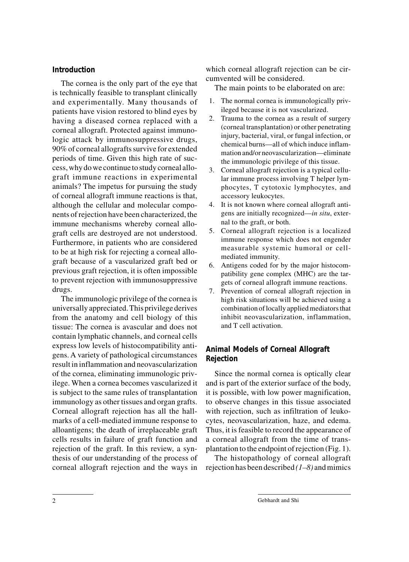#### **Introduction**

The cornea is the only part of the eye that is technically feasible to transplant clinically and experimentally. Many thousands of patients have vision restored to blind eyes by having a diseased cornea replaced with a corneal allograft. Protected against immunologic attack by immunosuppressive drugs, 90% of corneal allografts survive for extended periods of time. Given this high rate of success, why do we continue to study corneal allograft immune reactions in experimental animals? The impetus for pursuing the study of corneal allograft immune reactions is that, although the cellular and molecular components of rejection have been characterized, the immune mechanisms whereby corneal allograft cells are destroyed are not understood. Furthermore, in patients who are considered to be at high risk for rejecting a corneal allograft because of a vascularized graft bed or previous graft rejection, it is often impossible to prevent rejection with immunosuppressive drugs.

The immunologic privilege of the cornea is universally appreciated. This privilege derives from the anatomy and cell biology of this tissue: The cornea is avascular and does not contain lymphatic channels, and corneal cells express low levels of histocompatibility antigens. A variety of pathological circumstances result in inflammation and neovascularization of the cornea, eliminating immunologic privilege. When a cornea becomes vascularized it is subject to the same rules of transplantation immunology as other tissues and organ grafts. Corneal allograft rejection has all the hallmarks of a cell-mediated immune response to alloantigens; the death of irreplaceable graft cells results in failure of graft function and rejection of the graft. In this review, a synthesis of our understanding of the process of corneal allograft rejection and the ways in

which corneal allograft rejection can be circumvented will be considered.

The main points to be elaborated on are:

- 1. The normal cornea is immunologically privileged because it is not vascularized.
- 2. Trauma to the cornea as a result of surgery (corneal transplantation) or other penetrating injury, bacterial, viral, or fungal infection, or chemical burns—all of which induce inflammation and/or neovascularization—eliminate the immunologic privilege of this tissue.
- 3. Corneal allograft rejection is a typical cellular immune process involving T helper lymphocytes, T cytotoxic lymphocytes, and accessory leukocytes.
- 4. It is not known where corneal allograft antigens are initially recognized—*in situ*, external to the graft, or both.
- 5. Corneal allograft rejection is a localized immune response which does not engender measurable systemic humoral or cellmediated immunity.
- 6. Antigens coded for by the major histocompatibility gene complex (MHC) are the targets of corneal allograft immune reactions.
- 7. Prevention of corneal allograft rejection in high risk situations will be achieved using a combination of locally applied mediators that inhibit neovascularization, inflammation, and T cell activation.

# **Animal Models of Corneal Allograft Rejection**

Since the normal cornea is optically clear and is part of the exterior surface of the body, it is possible, with low power magnification, to observe changes in this tissue associated with rejection, such as infiltration of leukocytes, neovascularization, haze, and edema. Thus, it is feasible to record the appearance of a corneal allograft from the time of transplantation to the endpoint of rejection (Fig. 1).

The histopathology of corneal allograft rejection has been described *(1–8)* and mimics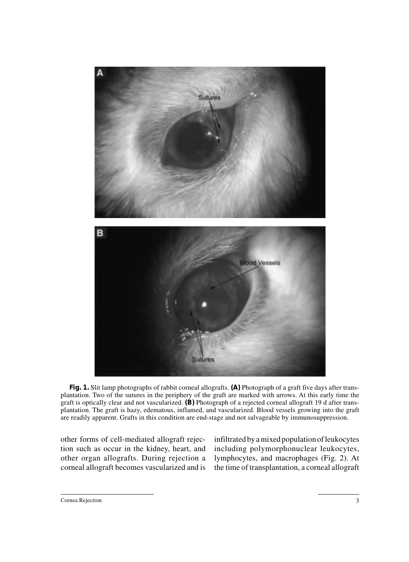

**Fig. 1.** Slit lamp photographs of rabbit corneal allografts. **(A)** Photograph of a graft five days after transplantation. Two of the sutures in the periphery of the graft are marked with arrows. At this early time the graft is optically clear and not vascularized. **(B)** Photograph of a rejected corneal allograft 19 d after transplantation. The graft is hazy, edematous, inflamed, and vascularized. Blood vessels growing into the graft are readily apparent. Grafts in this condition are end-stage and not salvageable by immunosuppression.

other forms of cell-mediated allograft rejection such as occur in the kidney, heart, and other organ allografts. During rejection a corneal allograft becomes vascularized and is

infiltrated by a mixed population of leukocytes including polymorphonuclear leukocytes, lymphocytes, and macrophages (Fig. 2). At the time of transplantation, a corneal allograft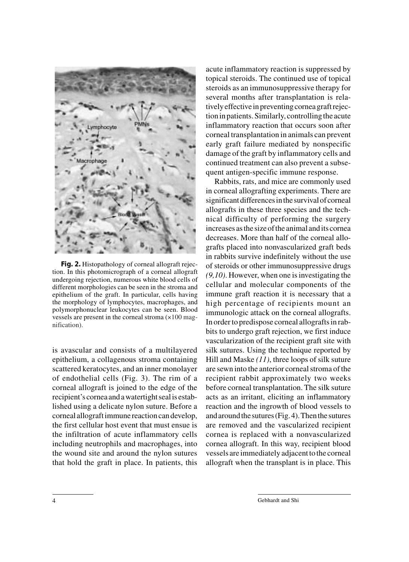

**Fig. 2.** Histopathology of corneal allograft rejection. In this photomicrograph of a corneal allograft undergoing rejection, numerous white blood cells of different morphologies can be seen in the stroma and epithelium of the graft. In particular, cells having the morphology of lymphocytes, macrophages, and polymorphonuclear leukocytes can be seen. Blood vessels are present in the corneal stroma (×100 magnification).

is avascular and consists of a multilayered epithelium, a collagenous stroma containing scattered keratocytes, and an inner monolayer of endothelial cells (Fig. 3). The rim of a corneal allograft is joined to the edge of the recipient's cornea and a watertight seal is established using a delicate nylon suture. Before a corneal allograft immune reaction can develop, the first cellular host event that must ensue is the infiltration of acute inflammatory cells including neutrophils and macrophages, into the wound site and around the nylon sutures that hold the graft in place. In patients, this

acute inflammatory reaction is suppressed by topical steroids. The continued use of topical steroids as an immunosuppressive therapy for several months after transplantation is relatively effective in preventing cornea graft rejection in patients. Similarly, controlling the acute inflammatory reaction that occurs soon after corneal transplantation in animals can prevent early graft failure mediated by nonspecific damage of the graft by inflammatory cells and continued treatment can also prevent a subsequent antigen-specific immune response.

Rabbits, rats, and mice are commonly used in corneal allografting experiments. There are significant differences in the survival of corneal allografts in these three species and the technical difficulty of performing the surgery increases as the size of the animal and its cornea decreases. More than half of the corneal allografts placed into nonvascularized graft beds in rabbits survive indefinitely without the use of steroids or other immunosuppressive drugs *(9,10)*. However, when one is investigating the cellular and molecular components of the immune graft reaction it is necessary that a high percentage of recipients mount an immunologic attack on the corneal allografts. In order to predispose corneal allografts in rabbits to undergo graft rejection, we first induce vascularization of the recipient graft site with silk sutures. Using the technique reported by Hill and Maske *(11)*, three loops of silk suture are sewn into the anterior corneal stroma of the recipient rabbit approximately two weeks before corneal transplantation. The silk suture acts as an irritant, eliciting an inflammatory reaction and the ingrowth of blood vessels to and around the sutures (Fig. 4). Then the sutures are removed and the vascularized recipient cornea is replaced with a nonvascularized cornea allograft. In this way, recipient blood vessels are immediately adjacent to the corneal allograft when the transplant is in place. This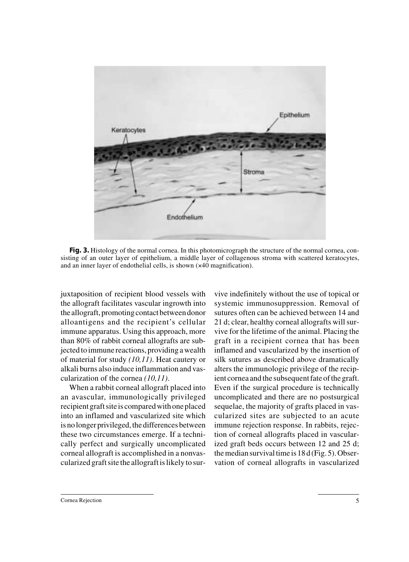

**Fig. 3.** Histology of the normal cornea. In this photomicrograph the structure of the normal cornea, consisting of an outer layer of epithelium, a middle layer of collagenous stroma with scattered keratocytes, and an inner layer of endothelial cells, is shown (×40 magnification).

juxtaposition of recipient blood vessels with the allograft facilitates vascular ingrowth into the allograft, promoting contact between donor alloantigens and the recipient's cellular immune apparatus. Using this approach, more than 80% of rabbit corneal allografts are subjected to immune reactions, providing a wealth of material for study *(10,11)*. Heat cautery or alkali burns also induce inflammation and vascularization of the cornea *(10,11)*.

When a rabbit corneal allograft placed into an avascular, immunologically privileged recipient graft site is compared with one placed into an inflamed and vascularized site which is no longer privileged, the differences between these two circumstances emerge. If a technically perfect and surgically uncomplicated corneal allograft is accomplished in a nonvascularized graft site the allograft is likely to survive indefinitely without the use of topical or systemic immunosuppression. Removal of sutures often can be achieved between 14 and 21 d; clear, healthy corneal allografts will survive for the lifetime of the animal. Placing the graft in a recipient cornea that has been inflamed and vascularized by the insertion of silk sutures as described above dramatically alters the immunologic privilege of the recipient cornea and the subsequent fate of the graft. Even if the surgical procedure is technically uncomplicated and there are no postsurgical sequelae, the majority of grafts placed in vascularized sites are subjected to an acute immune rejection response. In rabbits, rejection of corneal allografts placed in vascularized graft beds occurs between 12 and 25 d; the median survival time is 18 d (Fig. 5). Observation of corneal allografts in vascularized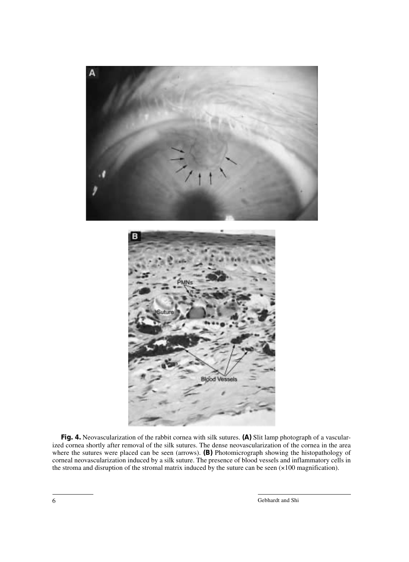

**Fig. 4.** Neovascularization of the rabbit cornea with silk sutures. **(A)** Slit lamp photograph of a vascularized cornea shortly after removal of the silk sutures. The dense neovascularization of the cornea in the area where the sutures were placed can be seen (arrows). **(B)** Photomicrograph showing the histopathology of corneal neovascularization induced by a silk suture. The presence of blood vessels and inflammatory cells in the stroma and disruption of the stromal matrix induced by the suture can be seen  $(\times 100$  magnification).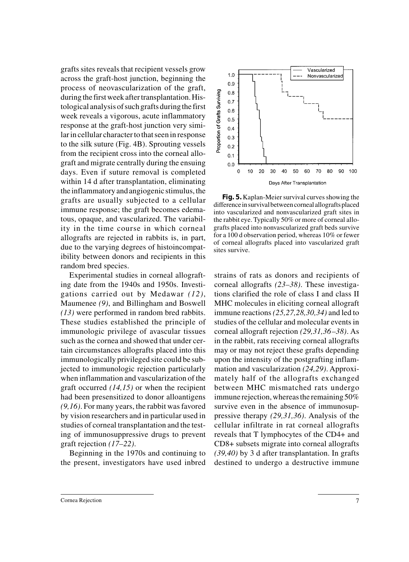grafts sites reveals that recipient vessels grow across the graft-host junction, beginning the process of neovascularization of the graft, during the first week after transplantation. Histological analysis of such grafts during the first week reveals a vigorous, acute inflammatory response at the graft-host junction very similar in cellular character to that seen in response to the silk suture (Fig. 4B). Sprouting vessels from the recipient cross into the corneal allograft and migrate centrally during the ensuing days. Even if suture removal is completed within 14 d after transplantation, eliminating the inflammatory and angiogenic stimulus, the grafts are usually subjected to a cellular immune response; the graft becomes edematous, opaque, and vascularized. The variability in the time course in which corneal allografts are rejected in rabbits is, in part, due to the varying degrees of histoincompatibility between donors and recipients in this random bred species.

Experimental studies in corneal allografting date from the 1940s and 1950s. Investigations carried out by Medawar *(12)*, Maumenee *(9)*, and Billingham and Boswell *(13)* were performed in random bred rabbits. These studies established the principle of immunologic privilege of avascular tissues such as the cornea and showed that under certain circumstances allografts placed into this immunologically privileged site could be subjected to immunologic rejection particularly when inflammation and vascularization of the graft occurred *(14,15)* or when the recipient had been presensitized to donor alloantigens *(9,16)*. For many years, the rabbit was favored by vision researchers and in particular used in studies of corneal transplantation and the testing of immunosuppressive drugs to prevent graft rejection *(17–22)*.

Beginning in the 1970s and continuing to the present, investigators have used inbred



**Fig. 5.** Kaplan-Meier survival curves showing the difference in survival between corneal allografts placed into vascularized and nonvascularized graft sites in the rabbit eye. Typically 50% or more of corneal allografts placed into nonvascularized graft beds survive for a 100 d observation period, whereas 10% or fewer of corneal allografts placed into vascularized graft sites survive.

strains of rats as donors and recipients of corneal allografts *(23–38)*. These investigations clarified the role of class I and class II MHC molecules in eliciting corneal allograft immune reactions *(25,27,28,30,34)* and led to studies of the cellular and molecular events in corneal allograft rejection *(29,31,36–38)*. As in the rabbit, rats receiving corneal allografts may or may not reject these grafts depending upon the intensity of the postgrafting inflammation and vascularization *(24,29)*. Approximately half of the allografts exchanged between MHC mismatched rats undergo immune rejection, whereas the remaining 50% survive even in the absence of immunosuppressive therapy *(29,31,36)*. Analysis of the cellular infiltrate in rat corneal allografts reveals that T lymphocytes of the CD4+ and CD8+ subsets migrate into corneal allografts *(39,40)* by 3 d after transplantation. In grafts destined to undergo a destructive immune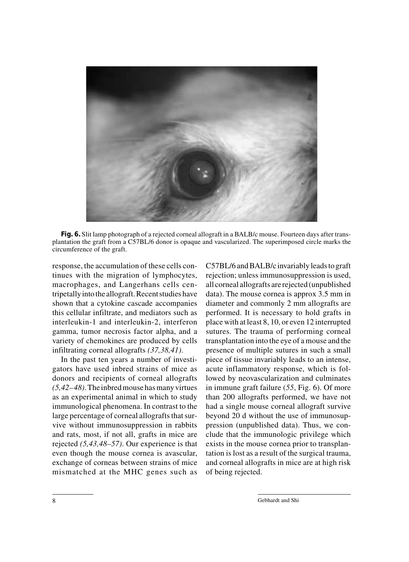

**Fig. 6.** Slit lamp photograph of a rejected corneal allograft in a BALB/c mouse. Fourteen days after transplantation the graft from a C57BL/6 donor is opaque and vascularized. The superimposed circle marks the circumference of the graft.

response, the accumulation of these cells continues with the migration of lymphocytes, macrophages, and Langerhans cells centripetally into the allograft. Recent studies have shown that a cytokine cascade accompanies this cellular infiltrate, and mediators such as interleukin-1 and interleukin-2, interferon gamma, tumor necrosis factor alpha, and a variety of chemokines are produced by cells infiltrating corneal allografts *(37,38,41)*.

In the past ten years a number of investigators have used inbred strains of mice as donors and recipients of corneal allografts *(5,42–48)*. The inbred mouse has many virtues as an experimental animal in which to study immunological phenomena. In contrast to the large percentage of corneal allografts that survive without immunosuppression in rabbits and rats, most, if not all, grafts in mice are rejected *(5,43,48–57)*. Our experience is that even though the mouse cornea is avascular, exchange of corneas between strains of mice mismatched at the MHC genes such as

C57BL/6 and BALB/c invariably leads to graft rejection; unless immunosuppression is used, all corneal allografts are rejected (unpublished data). The mouse cornea is approx 3.5 mm in diameter and commonly 2 mm allografts are performed. It is necessary to hold grafts in place with at least 8, 10, or even 12 interrupted sutures. The trauma of performing corneal transplantation into the eye of a mouse and the presence of multiple sutures in such a small piece of tissue invariably leads to an intense, acute inflammatory response, which is followed by neovascularization and culminates in immune graft failure (*55*, Fig. 6). Of more than 200 allografts performed, we have not had a single mouse corneal allograft survive beyond 20 d without the use of immunosuppression (unpublished data). Thus, we conclude that the immunologic privilege which exists in the mouse cornea prior to transplantation is lost as a result of the surgical trauma, and corneal allografts in mice are at high risk of being rejected.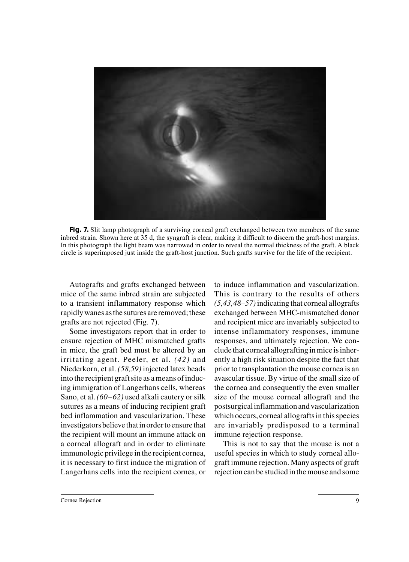

**Fig. 7.** Slit lamp photograph of a surviving corneal graft exchanged between two members of the same inbred strain. Shown here at 35 d, the syngraft is clear, making it difficult to discern the graft-host margins. In this photograph the light beam was narrowed in order to reveal the normal thickness of the graft. A black circle is superimposed just inside the graft-host junction. Such grafts survive for the life of the recipient.

Autografts and grafts exchanged between mice of the same inbred strain are subjected to a transient inflammatory response which rapidly wanes as the sutures are removed; these grafts are not rejected (Fig. 7).

Some investigators report that in order to ensure rejection of MHC mismatched grafts in mice, the graft bed must be altered by an irritating agent. Peeler, et al. *(42)* and Niederkorn, et al. *(58,59)* injected latex beads into the recipient graft site as a means of inducing immigration of Langerhans cells, whereas Sano, et al. *(60–62)* used alkali cautery or silk sutures as a means of inducing recipient graft bed inflammation and vascularization. These investigators believe that in order to ensure that the recipient will mount an immune attack on a corneal allograft and in order to eliminate immunologic privilege in the recipient cornea, it is necessary to first induce the migration of Langerhans cells into the recipient cornea, or to induce inflammation and vascularization. This is contrary to the results of others *(5,43,48–57)*indicating that corneal allografts exchanged between MHC-mismatched donor and recipient mice are invariably subjected to intense inflammatory responses, immune responses, and ultimately rejection. We conclude that corneal allografting in mice is inherently a high risk situation despite the fact that prior to transplantation the mouse cornea is an avascular tissue. By virtue of the small size of the cornea and consequently the even smaller size of the mouse corneal allograft and the postsurgical inflammation and vascularization which occurs, corneal allografts in this species are invariably predisposed to a terminal immune rejection response.

This is not to say that the mouse is not a useful species in which to study corneal allograft immune rejection. Many aspects of graft rejection can be studied in the mouse and some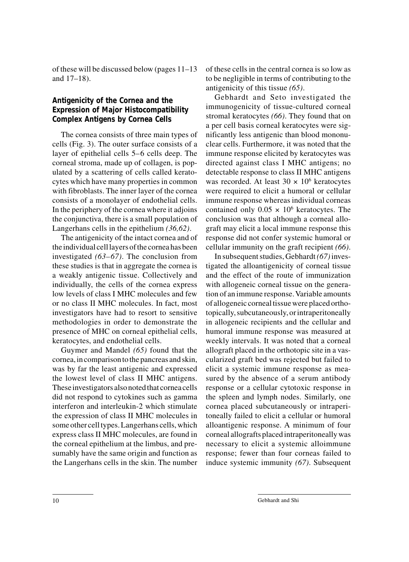of these will be discussed below (pages 11–13 and 17–18).

# **Antigenicity of the Cornea and the Expression of Major Histocompatibility Complex Antigens by Cornea Cells**

The cornea consists of three main types of cells (Fig. 3). The outer surface consists of a layer of epithelial cells 5–6 cells deep. The corneal stroma, made up of collagen, is populated by a scattering of cells called keratocytes which have many properties in common with fibroblasts. The inner layer of the cornea consists of a monolayer of endothelial cells. In the periphery of the cornea where it adjoins the conjunctiva, there is a small population of Langerhans cells in the epithelium *(36,62)*.

The antigenicity of the intact cornea and of the individual cell layers of the cornea has been investigated *(63–67)*. The conclusion from these studies is that in aggregate the cornea is a weakly antigenic tissue. Collectively and individually, the cells of the cornea express low levels of class I MHC molecules and few or no class II MHC molecules. In fact, most investigators have had to resort to sensitive methodologies in order to demonstrate the presence of MHC on corneal epithelial cells, keratocytes, and endothelial cells.

Guymer and Mandel *(65)* found that the cornea, in comparison to the pancreas and skin, was by far the least antigenic and expressed the lowest level of class II MHC antigens. These investigators also noted that cornea cells did not respond to cytokines such as gamma interferon and interleukin-2 which stimulate the expression of class II MHC molecules in some other cell types. Langerhans cells, which express class II MHC molecules, are found in the corneal epithelium at the limbus, and presumably have the same origin and function as the Langerhans cells in the skin. The number of these cells in the central cornea is so low as to be negligible in terms of contributing to the antigenicity of this tissue *(65)*.

Gebhardt and Seto investigated the immunogenicity of tissue-cultured corneal stromal keratocytes *(66)*. They found that on a per cell basis corneal keratocytes were significantly less antigenic than blood mononuclear cells. Furthermore, it was noted that the immune response elicited by keratocytes was directed against class I MHC antigens; no detectable response to class II MHC antigens was recorded. At least  $30 \times 10^6$  keratocytes were required to elicit a humoral or cellular immune response whereas individual corneas contained only  $0.05 \times 10^6$  keratocytes. The conclusion was that although a corneal allograft may elicit a local immune response this response did not confer systemic humoral or cellular immunity on the graft recipient *(66)*.

In subsequent studies, Gebhardt *(67)*investigated the alloantigenicity of corneal tissue and the effect of the route of immunization with allogeneic corneal tissue on the generation of an immune response. Variable amounts of allogeneic corneal tissue were placed orthotopically, subcutaneously, or intraperitoneally in allogeneic recipients and the cellular and humoral immune response was measured at weekly intervals. It was noted that a corneal allograft placed in the orthotopic site in a vascularized graft bed was rejected but failed to elicit a systemic immune response as measured by the absence of a serum antibody response or a cellular cytotoxic response in the spleen and lymph nodes. Similarly, one cornea placed subcutaneously or intraperitoneally failed to elicit a cellular or humoral alloantigenic response. A minimum of four corneal allografts placed intraperitoneally was necessary to elicit a systemic alloimmune response; fewer than four corneas failed to induce systemic immunity *(67)*. Subsequent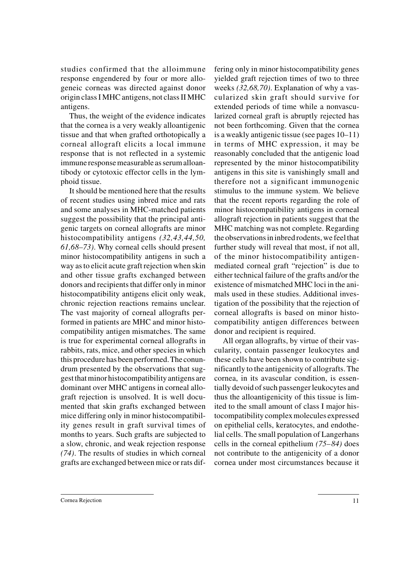studies confirmed that the alloimmune response engendered by four or more allogeneic corneas was directed against donor origin class I MHC antigens, not class II MHC antigens.

Thus, the weight of the evidence indicates that the cornea is a very weakly alloantigenic tissue and that when grafted orthotopically a corneal allograft elicits a local immune response that is not reflected in a systemic immune response measurable as serum alloantibody or cytotoxic effector cells in the lymphoid tissue.

It should be mentioned here that the results of recent studies using inbred mice and rats and some analyses in MHC-matched patients suggest the possibility that the principal antigenic targets on corneal allografts are minor histocompatibility antigens *(32,43,44,50, 61,68–73)*. Why corneal cells should present minor histocompatibility antigens in such a way as to elicit acute graft rejection when skin and other tissue grafts exchanged between donors and recipients that differ only in minor histocompatibility antigens elicit only weak, chronic rejection reactions remains unclear. The vast majority of corneal allografts performed in patients are MHC and minor histocompatibility antigen mismatches. The same is true for experimental corneal allografts in rabbits, rats, mice, and other species in which this procedure has been performed. The conundrum presented by the observations that suggest that minor histocompatibility antigens are dominant over MHC antigens in corneal allograft rejection is unsolved. It is well documented that skin grafts exchanged between mice differing only in minor histocompatibility genes result in graft survival times of months to years. Such grafts are subjected to a slow, chronic, and weak rejection response *(74)*. The results of studies in which corneal grafts are exchanged between mice or rats differing only in minor histocompatibility genes yielded graft rejection times of two to three weeks *(32,68,70)*. Explanation of why a vascularized skin graft should survive for extended periods of time while a nonvascularized corneal graft is abruptly rejected has not been forthcoming. Given that the cornea is a weakly antigenic tissue (see pages 10–11) in terms of MHC expression, it may be reasonably concluded that the antigenic load represented by the minor histocompatibility antigens in this site is vanishingly small and therefore not a significant immunogenic stimulus to the immune system. We believe that the recent reports regarding the role of minor histocompatibility antigens in corneal allograft rejection in patients suggest that the MHC matching was not complete. Regarding the observations in inbred rodents, we feel that further study will reveal that most, if not all, of the minor histocompatibility antigenmediated corneal graft "rejection" is due to either technical failure of the grafts and/or the existence of mismatched MHC loci in the animals used in these studies. Additional investigation of the possibility that the rejection of corneal allografts is based on minor histocompatibility antigen differences between donor and recipient is required.

All organ allografts, by virtue of their vascularity, contain passenger leukocytes and these cells have been shown to contribute significantly to the antigenicity of allografts. The cornea, in its avascular condition, is essentially devoid of such passenger leukocytes and thus the alloantigenicity of this tissue is limited to the small amount of class I major histocompatibility complex molecules expressed on epithelial cells, keratocytes, and endothelial cells. The small population of Langerhans cells in the corneal epithelium *(75–84)* does not contribute to the antigenicity of a donor cornea under most circumstances because it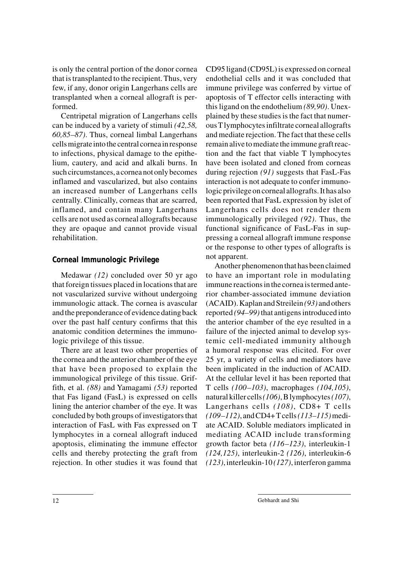is only the central portion of the donor cornea that is transplanted to the recipient. Thus, very few, if any, donor origin Langerhans cells are transplanted when a corneal allograft is performed.

Centripetal migration of Langerhans cells can be induced by a variety of stimuli *(42,58, 60,85–87)*. Thus, corneal limbal Langerhans cells migrate into the central cornea in response to infections, physical damage to the epithelium, cautery, and acid and alkali burns. In such circumstances, a cornea not only becomes inflamed and vascularized, but also contains an increased number of Langerhans cells centrally. Clinically, corneas that are scarred, inflamed, and contain many Langerhans cells are not used as corneal allografts because they are opaque and cannot provide visual rehabilitation.

#### **Corneal Immunologic Privilege**

Medawar *(12)* concluded over 50 yr ago that foreign tissues placed in locations that are not vascularized survive without undergoing immunologic attack. The cornea is avascular and the preponderance of evidence dating back over the past half century confirms that this anatomic condition determines the immunologic privilege of this tissue.

There are at least two other properties of the cornea and the anterior chamber of the eye that have been proposed to explain the immunological privilege of this tissue. Griffith, et al. *(88)* and Yamagami *(53)* reported that Fas ligand (FasL) is expressed on cells lining the anterior chamber of the eye. It was concluded by both groups of investigators that interaction of FasL with Fas expressed on T lymphocytes in a corneal allograft induced apoptosis, eliminating the immune effector cells and thereby protecting the graft from rejection. In other studies it was found that CD95 ligand (CD95L) is expressed on corneal endothelial cells and it was concluded that immune privilege was conferred by virtue of apoptosis of T effector cells interacting with this ligand on the endothelium *(89,90)*. Unexplained by these studies is the fact that numerous T lymphocytes infiltrate corneal allografts and mediate rejection. The fact that these cells remain alive to mediate the immune graft reaction and the fact that viable T lymphocytes have been isolated and cloned from corneas during rejection *(91)* suggests that FasL-Fas interaction is not adequate to confer immunologic privilege on corneal allografts. It has also been reported that FasL expression by islet of Langerhans cells does not render them immunologically privileged *(92)*. Thus, the functional significance of FasL-Fas in suppressing a corneal allograft immune response or the response to other types of allografts is not apparent.

Another phenomenon that has been claimed to have an important role in modulating immune reactions in the cornea is termed anterior chamber-associated immune deviation (ACAID). Kaplan and Streilein *(93)* and others reported *(94–99)*that antigens introduced into the anterior chamber of the eye resulted in a failure of the injected animal to develop systemic cell-mediated immunity although a humoral response was elicited. For over 25 yr, a variety of cells and mediators have been implicated in the induction of ACAID. At the cellular level it has been reported that T cells *(100–103)*, macrophages *(104,105)*, natural killer cells *(106)*, Blymphocytes *(107)*, Langerhans cells *(108)*, CD8+ T cells *(109–112)*, and CD4+ T cells *(113–115)*mediate ACAID. Soluble mediators implicated in mediating ACAID include transforming growth factor beta *(116–123)*, interleukin-1 *(124,125)*, interleukin-2 *(126)*, interleukin-6 *(123)*,interleukin-10 *(127)*,interferon gamma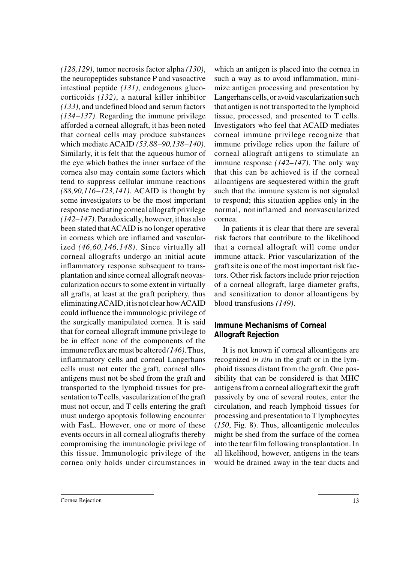*(128,129)*, tumor necrosis factor alpha *(130)*, the neuropeptides substance P and vasoactive intestinal peptide *(131)*, endogenous glucocorticoids *(132)*, a natural killer inhibitor *(133)*, and undefined blood and serum factors *(134–137)*. Regarding the immune privilege afforded a corneal allograft, it has been noted that corneal cells may produce substances which mediate ACAID *(53,88–90,138–140)*. Similarly, it is felt that the aqueous humor of the eye which bathes the inner surface of the cornea also may contain some factors which tend to suppress cellular immune reactions *(88,90,116–123,141)*. ACAID is thought by some investigators to be the most important response mediating corneal allograft privilege *(142–147)*. Paradoxically, however, it has also been stated that ACAID is no longer operative in corneas which are inflamed and vascularized *(46,60,146,148)*. Since virtually all corneal allografts undergo an initial acute inflammatory response subsequent to transplantation and since corneal allograft neovascularization occurs to some extent in virtually all grafts, at least at the graft periphery, thus eliminating ACAID, it is not clear how ACAID could influence the immunologic privilege of the surgically manipulated cornea. It is said that for corneal allograft immune privilege to be in effect none of the components of the immune reflex arc must be altered *(146)*. Thus, inflammatory cells and corneal Langerhans cells must not enter the graft, corneal alloantigens must not be shed from the graft and transported to the lymphoid tissues for presentation to T cells, vascularization of the graft must not occur, and T cells entering the graft must undergo apoptosis following encounter with FasL. However, one or more of these events occurs in all corneal allografts thereby compromising the immunologic privilege of this tissue. Immunologic privilege of the cornea only holds under circumstances in

which an antigen is placed into the cornea in such a way as to avoid inflammation, minimize antigen processing and presentation by Langerhans cells, or avoid vascularization such that antigen is not transported to the lymphoid tissue, processed, and presented to T cells. Investigators who feel that ACAID mediates corneal immune privilege recognize that immune privilege relies upon the failure of corneal allograft antigens to stimulate an immune response *(142–147)*. The only way that this can be achieved is if the corneal alloantigens are sequestered within the graft such that the immune system is not signaled to respond; this situation applies only in the normal, noninflamed and nonvascularized cornea.

In patients it is clear that there are several risk factors that contribute to the likelihood that a corneal allograft will come under immune attack. Prior vascularization of the graft site is one of the most important risk factors. Other risk factors include prior rejection of a corneal allograft, large diameter grafts, and sensitization to donor alloantigens by blood transfusions *(149)*.

# **Immune Mechanisms of Corneal Allograft Rejection**

It is not known if corneal alloantigens are recognized *in situ* in the graft or in the lymphoid tissues distant from the graft. One possibility that can be considered is that MHC antigens from a corneal allograft exit the graft passively by one of several routes, enter the circulation, and reach lymphoid tissues for processing and presentation to T lymphocytes (*150*, Fig. 8). Thus, alloantigenic molecules might be shed from the surface of the cornea into the tear film following transplantation. In all likelihood, however, antigens in the tears would be drained away in the tear ducts and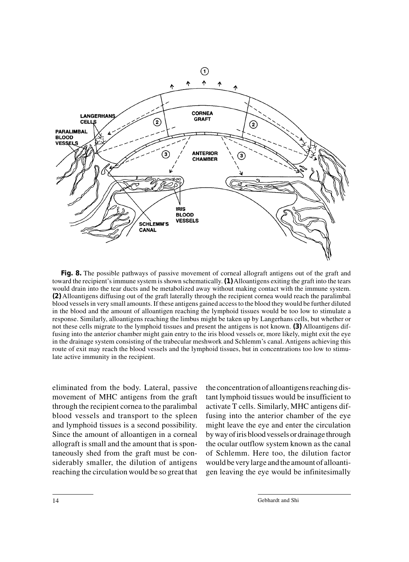

**Fig. 8.** The possible pathways of passive movement of corneal allograft antigens out of the graft and toward the recipient's immune system is shown schematically. **(1)**Alloantigens exiting the graft into the tears would drain into the tear ducts and be metabolized away without making contact with the immune system. **(2)** Alloantigens diffusing out of the graft laterally through the recipient cornea would reach the paralimbal blood vessels in very small amounts. If these antigens gained access to the blood they would be further diluted in the blood and the amount of alloantigen reaching the lymphoid tissues would be too low to stimulate a response. Similarly, alloantigens reaching the limbus might be taken up by Langerhans cells, but whether or not these cells migrate to the lymphoid tissues and present the antigens is not known. **(3)** Alloantigens diffusing into the anterior chamber might gain entry to the iris blood vessels or, more likely, might exit the eye in the drainage system consisting of the trabecular meshwork and Schlemm's canal. Antigens achieving this route of exit may reach the blood vessels and the lymphoid tissues, but in concentrations too low to stimulate active immunity in the recipient.

eliminated from the body. Lateral, passive movement of MHC antigens from the graft through the recipient cornea to the paralimbal blood vessels and transport to the spleen and lymphoid tissues is a second possibility. Since the amount of alloantigen in a corneal allograft is small and the amount that is spontaneously shed from the graft must be considerably smaller, the dilution of antigens reaching the circulation would be so great that the concentration of alloantigens reaching distant lymphoid tissues would be insufficient to activate T cells. Similarly, MHC antigens diffusing into the anterior chamber of the eye might leave the eye and enter the circulation by way of iris blood vessels or drainage through the ocular outflow system known as the canal of Schlemm. Here too, the dilution factor would be very large and the amount of alloantigen leaving the eye would be infinitesimally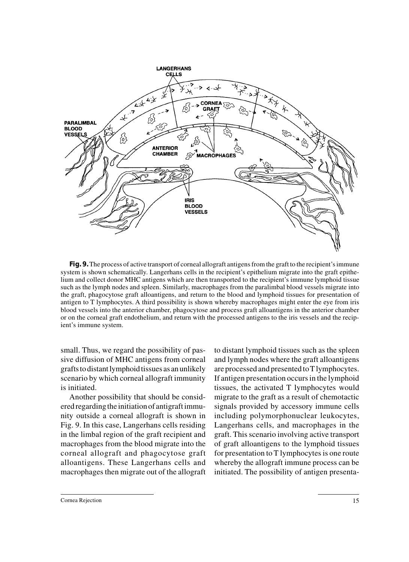

**Fig. 9.** The process of active transport of corneal allograft antigens from the graft to the recipient's immune system is shown schematically. Langerhans cells in the recipient's epithelium migrate into the graft epithelium and collect donor MHC antigens which are then transported to the recipient's immune lymphoid tissue such as the lymph nodes and spleen. Similarly, macrophages from the paralimbal blood vessels migrate into the graft, phagocytose graft alloantigens, and return to the blood and lymphoid tissues for presentation of antigen to T lymphocytes. A third possibility is shown whereby macrophages might enter the eye from iris blood vessels into the anterior chamber, phagocytose and process graft alloantigens in the anterior chamber or on the corneal graft endothelium, and return with the processed antigens to the iris vessels and the recipient's immune system.

small. Thus, we regard the possibility of passive diffusion of MHC antigens from corneal grafts to distant lymphoid tissues as an unlikely scenario by which corneal allograft immunity is initiated.

Another possibility that should be considered regarding the initiation of antigraft immunity outside a corneal allograft is shown in Fig. 9. In this case, Langerhans cells residing in the limbal region of the graft recipient and macrophages from the blood migrate into the corneal allograft and phagocytose graft alloantigens. These Langerhans cells and macrophages then migrate out of the allograft to distant lymphoid tissues such as the spleen and lymph nodes where the graft alloantigens are processed and presented to T lymphocytes. If antigen presentation occurs in the lymphoid tissues, the activated T lymphocytes would migrate to the graft as a result of chemotactic signals provided by accessory immune cells including polymorphonuclear leukocytes, Langerhans cells, and macrophages in the graft. This scenario involving active transport of graft alloantigens to the lymphoid tissues for presentation to T lymphocytes is one route whereby the allograft immune process can be initiated. The possibility of antigen presenta-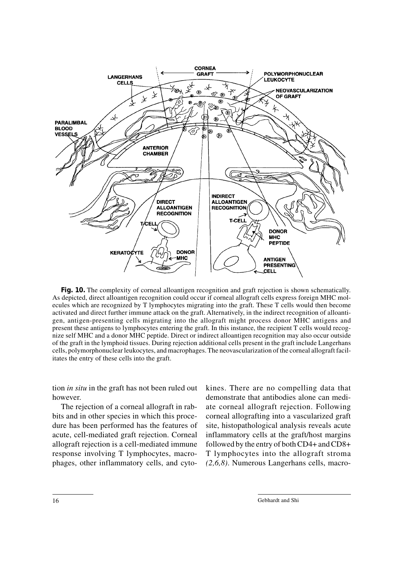

**Fig. 10.** The complexity of corneal alloantigen recognition and graft rejection is shown schematically. As depicted, direct alloantigen recognition could occur if corneal allograft cells express foreign MHC molecules which are recognized by T lymphocytes migrating into the graft. These T cells would then become activated and direct further immune attack on the graft. Alternatively, in the indirect recognition of alloantigen, antigen-presenting cells migrating into the allograft might process donor MHC antigens and present these antigens to lymphocytes entering the graft. In this instance, the recipient T cells would recognize self MHC and a donor MHC peptide. Direct or indirect alloantigen recognition may also occur outside of the graft in the lymphoid tissues. During rejection additional cells present in the graft include Langerhans cells, polymorphonuclear leukocytes, and macrophages. The neovascularization of the corneal allograft facilitates the entry of these cells into the graft.

tion *in situ* in the graft has not been ruled out however.

The rejection of a corneal allograft in rabbits and in other species in which this procedure has been performed has the features of acute, cell-mediated graft rejection. Corneal allograft rejection is a cell-mediated immune response involving T lymphocytes, macrophages, other inflammatory cells, and cytokines. There are no compelling data that demonstrate that antibodies alone can mediate corneal allograft rejection. Following corneal allografting into a vascularized graft site, histopathological analysis reveals acute inflammatory cells at the graft/host margins followed by the entry of both CD4+ and CD8+ T lymphocytes into the allograft stroma *(2,6,8)*. Numerous Langerhans cells, macro-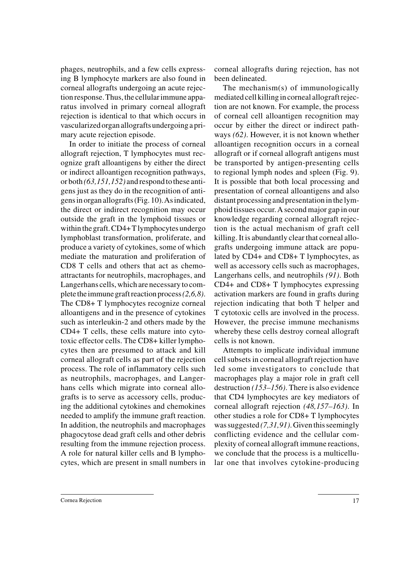phages, neutrophils, and a few cells expressing B lymphocyte markers are also found in corneal allografts undergoing an acute rejection response. Thus, the cellular immune apparatus involved in primary corneal allograft rejection is identical to that which occurs in vascularized organ allografts undergoing a primary acute rejection episode.

In order to initiate the process of corneal allograft rejection, T lymphocytes must recognize graft alloantigens by either the direct or indirect alloantigen recognition pathways, or both *(63,151,152)* and respond to these antigens just as they do in the recognition of antigens in organ allografts (Fig. 10). As indicated, the direct or indirect recognition may occur outside the graft in the lymphoid tissues or within the graft. CD4+ T lymphocytes undergo lymphoblast transformation, proliferate, and produce a variety of cytokines, some of which mediate the maturation and proliferation of CD8 T cells and others that act as chemoattractants for neutrophils, macrophages, and Langerhans cells, which are necessary to complete the immune graft reaction process *(2,6,8)*. The CD8+ T lymphocytes recognize corneal alloantigens and in the presence of cytokines such as interleukin-2 and others made by the CD4+ T cells, these cells mature into cytotoxic effector cells. The CD8+ killer lymphocytes then are presumed to attack and kill corneal allograft cells as part of the rejection process. The role of inflammatory cells such as neutrophils, macrophages, and Langerhans cells which migrate into corneal allografts is to serve as accessory cells, producing the additional cytokines and chemokines needed to amplify the immune graft reaction. In addition, the neutrophils and macrophages phagocytose dead graft cells and other debris resulting from the immune rejection process. A role for natural killer cells and B lymphocytes, which are present in small numbers in

corneal allografts during rejection, has not been delineated.

The mechanism(s) of immunologically mediated cell killing in corneal allograft rejection are not known. For example, the process of corneal cell alloantigen recognition may occur by either the direct or indirect pathways *(62)*. However, it is not known whether alloantigen recognition occurs in a corneal allograft or if corneal allograft antigens must be transported by antigen-presenting cells to regional lymph nodes and spleen (Fig. 9). It is possible that both local processing and presentation of corneal alloantigens and also distant processing and presentation in the lymphoid tissues occur. A second major gap in our knowledge regarding corneal allograft rejection is the actual mechanism of graft cell killing. It is abundantly clear that corneal allografts undergoing immune attack are populated by CD4+ and CD8+ T lymphocytes, as well as accessory cells such as macrophages, Langerhans cells, and neutrophils *(91)*. Both CD4+ and CD8+ T lymphocytes expressing activation markers are found in grafts during rejection indicating that both T helper and T cytotoxic cells are involved in the process. However, the precise immune mechanisms whereby these cells destroy corneal allograft cells is not known.

Attempts to implicate individual immune cell subsets in corneal allograft rejection have led some investigators to conclude that macrophages play a major role in graft cell destruction *(153–156)*. There is also evidence that CD4 lymphocytes are key mediators of corneal allograft rejection *(48,157–163)*. In other studies a role for CD8+ T lymphocytes was suggested *(7,31,91)*. Given this seemingly conflicting evidence and the cellular complexity of corneal allograft immune reactions, we conclude that the process is a multicellular one that involves cytokine-producing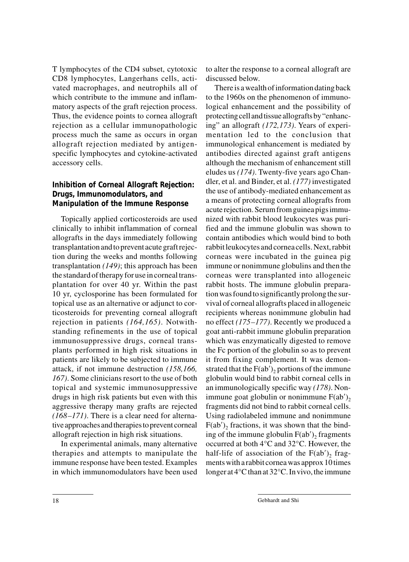T lymphocytes of the CD4 subset, cytotoxic CD8 lymphocytes, Langerhans cells, activated macrophages, and neutrophils all of which contribute to the immune and inflammatory aspects of the graft rejection process. Thus, the evidence points to cornea allograft rejection as a cellular immunopathologic process much the same as occurs in organ allograft rejection mediated by antigenspecific lymphocytes and cytokine-activated accessory cells.

# **Inhibition of Corneal Allograft Rejection: Drugs, Immunomodulators, and Manipulation of the Immune Response**

Topically applied corticosteroids are used clinically to inhibit inflammation of corneal allografts in the days immediately following transplantation and to prevent acute graft rejection during the weeks and months following transplantation *(149)*; this approach has been the standard of therapy for use in corneal transplantation for over 40 yr. Within the past 10 yr, cyclosporine has been formulated for topical use as an alternative or adjunct to corticosteroids for preventing corneal allograft rejection in patients *(164,165)*. Notwithstanding refinements in the use of topical immunosuppressive drugs, corneal transplants performed in high risk situations in patients are likely to be subjected to immune attack, if not immune destruction *(158,166, 167)*. Some clinicians resort to the use of both topical and systemic immunosuppressive drugs in high risk patients but even with this aggressive therapy many grafts are rejected *(168–171)*. There is a clear need for alternative approaches and therapies to prevent corneal allograft rejection in high risk situations.

In experimental animals, many alternative therapies and attempts to manipulate the immune response have been tested. Examples in which immunomodulators have been used

to alter the response to a corneal allograft are discussed below.

There is a wealth of information dating back to the 1960s on the phenomenon of immunological enhancement and the possibility of protecting cell and tissue allografts by "enhancing" an allograft *(172,173)*. Years of experimentation led to the conclusion that immunological enhancement is mediated by antibodies directed against graft antigens although the mechanism of enhancement still eludes us *(174)*. Twenty-five years ago Chandler, et al. and Binder, et al. *(177)* investigated the use of antibody-mediated enhancement as a means of protecting corneal allografts from acute rejection. Serum from guinea pigs immunized with rabbit blood leukocytes was purified and the immune globulin was shown to contain antibodies which would bind to both rabbit leukocytes and cornea cells. Next, rabbit corneas were incubated in the guinea pig immune or nonimmune globulins and then the corneas were transplanted into allogeneic rabbit hosts. The immune globulin preparation was found to significantly prolong the survival of corneal allografts placed in allogeneic recipients whereas nonimmune globulin had no effect *(175–177)*. Recently we produced a goat anti-rabbit immune globulin preparation which was enzymatically digested to remove the Fc portion of the globulin so as to prevent it from fixing complement. It was demonstrated that the  $F(ab')$ , portions of the immune globulin would bind to rabbit corneal cells in an immunologically specific way *(178)*. Nonimmune goat globulin or nonimmune  $F(ab')_2$ fragments did not bind to rabbit corneal cells. Using radiolabeled immune and nonimmune  $F(ab')$  fractions, it was shown that the binding of the immune globulin  $F(ab')_2$  fragments occurred at both 4°C and 32°C. However, the half-life of association of the  $F(ab')$ , fragments with a rabbit cornea was approx 10 times longer at 4°C than at 32°C. In vivo, the immune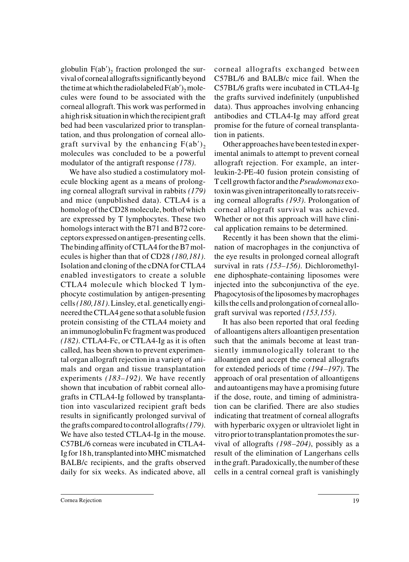globulin  $F(ab')$ , fraction prolonged the survival of corneal allografts significantly beyond the time at which the radiolabeled  $F(ab')_2$  molecules were found to be associated with the corneal allograft. This work was performed in a high risk situation in which the recipient graft bed had been vascularized prior to transplantation, and thus prolongation of corneal allograft survival by the enhancing  $F(ab')$ , molecules was concluded to be a powerful modulator of the antigraft response *(178)*.

We have also studied a costimulatory molecule blocking agent as a means of prolonging corneal allograft survival in rabbits *(179)* and mice (unpublished data). CTLA4 is a homolog of the CD28 molecule, both of which are expressed by T lymphocytes. These two homologs interact with the B71 and B72 coreceptors expressed on antigen-presenting cells. The binding affinity of CTLA4 for the B7 molecules is higher than that of CD28 *(180,181)*. Isolation and cloning of the cDNA for CTLA4 enabled investigators to create a soluble CTLA4 molecule which blocked T lymphocyte costimulation by antigen-presenting cells*(180,181)*. Linsley, et al. genetically engineered the CTLA4 gene so that a soluble fusion protein consisting of the CTLA4 moiety and an immunoglobulin Fc fragment was produced *(182)*. CTLA4-Fc, or CTLA4-Ig as it is often called, has been shown to prevent experimental organ allograft rejection in a variety of animals and organ and tissue transplantation experiments *(183–192)*. We have recently shown that incubation of rabbit corneal allografts in CTLA4-Ig followed by transplantation into vascularized recipient graft beds results in significantly prolonged survival of the grafts compared to control allografts *(179)*. We have also tested CTLA4-Ig in the mouse. C57BL/6 corneas were incubated in CTLA4- Ig for 18 h, transplanted into MHC mismatched BALB/c recipients, and the grafts observed daily for six weeks. As indicated above, all

corneal allografts exchanged between C57BL/6 and BALB/c mice fail. When the C57BL/6 grafts were incubated in CTLA4-Ig the grafts survived indefinitely (unpublished data). Thus approaches involving enhancing antibodies and CTLA4-Ig may afford great promise for the future of corneal transplantation in patients.

Other approaches have been tested in experimental animals to attempt to prevent corneal allograft rejection. For example, an interleukin-2-PE-40 fusion protein consisting of T cell growth factor and the *Pseudomonas* exotoxin was given intraperitoneally to rats receiving corneal allografts *(193)*. Prolongation of corneal allograft survival was achieved. Whether or not this approach will have clinical application remains to be determined.

Recently it has been shown that the elimination of macrophages in the conjunctiva of the eye results in prolonged corneal allograft survival in rats *(153–156)*. Dichloromethylene diphosphate-containing liposomes were injected into the subconjunctiva of the eye. Phagocytosis of the liposomes by macrophages kills the cells and prolongation of corneal allograft survival was reported *(153,155)*.

It has also been reported that oral feeding of alloantigens alters alloantigen presentation such that the animals become at least transiently immunologically tolerant to the alloantigen and accept the corneal allografts for extended periods of time *(194–197)*. The approach of oral presentation of alloantigens and autoantigens may have a promising future if the dose, route, and timing of administration can be clarified. There are also studies indicating that treatment of corneal allografts with hyperbaric oxygen or ultraviolet light in vitro prior to transplantation promotes the survival of allografts *(198–204)*, possibly as a result of the elimination of Langerhans cells in the graft. Paradoxically, the number of these cells in a central corneal graft is vanishingly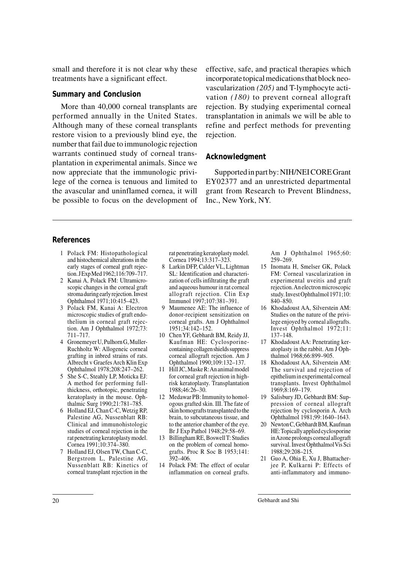small and therefore it is not clear why these treatments have a significant effect.

#### **Summary and Conclusion**

More than 40,000 corneal transplants are performed annually in the United States. Although many of these corneal transplants restore vision to a previously blind eye, the number that fail due to immunologic rejection warrants continued study of corneal transplantation in experimental animals. Since we now appreciate that the immunologic privilege of the cornea is tenuous and limited to the avascular and uninflamed cornea, it will be possible to focus on the development of effective, safe, and practical therapies which incorporate topical medications that block neovascularization *(205)* and T-lymphocyte activation *(180)* to prevent corneal allograft rejection. By studying experimental corneal transplantation in animals we will be able to refine and perfect methods for preventing rejection.

# **Acknowledgment**

Supported in part by: NIH/NEI CORE Grant EY02377 and an unrestricted departmental grant from Research to Prevent Blindness, Inc., New York, NY.

#### **References**

- 1 Polack FM: Histopathological and histochemical alterations in the early stages of corneal graft rejection. J Exp Med 1962;116:709–717.
- 2 Kanai A, Polack FM: Ultramicroscopic changes in the corneal graft stroma during early rejection. Invest Ophthalmol 1971;10:415–423.
- 3 Polack FM, Kanai A: Electron microscopic studies of graft endothelium in corneal graft rejection. Am J Ophthalmol 1972;73: 711–717.
- 4 Gronemeyer U, Pulhorn G, Muller-Ruchholtz W: Allogeneic corneal grafting in inbred strains of rats. Albrecht v Graefes Arch Klin Exp Ophthalmol 1978;208:247–262.
- 5 She S-C, Steahly LP, Moticka EJ: A method for performing fullthickness, orthotopic, penetrating keratoplasty in the mouse. Ophthalmic Surg 1990;21:781–785.
- 6 Holland EJ, Chan C-C, Wetzig RP, Palestine AG, Nussenblatt RB: Clinical and immunohistologic studies of corneal rejection in the rat penetrating keratoplasty model. Cornea 1991;10:374–380.
- 7 Holland EJ, Olsen TW, Chan C-C, Bergstrom L, Palestine AG, Nussenblatt RB: Kinetics of corneal transplant rejection in the

rat penetrating keratoplasty model. Cornea 1994;13:317–323.

- 8 Larkin DFP, Calder VL, Lightman SL: Identification and characterization of cells infiltrating the graft and aqueous humour in rat corneal allograft rejection. Clin Exp Immunol 1997;107:381–391.
- 9 Maumenee AE: The influence of donor-recipient sensitization on corneal grafts. Am J Ophthalmol 1951;34:142–152.
- 10 Chen YF, Gebhardt BM, Reidy JJ, Kaufman HE: Cyclosporinecontaining collagen shields suppress corneal allograft rejection. Am J Ophthalmol 1990;109:132–137.
- 11 Hill JC, Maske R:An animal model for corneal graft rejection in highrisk keratoplasty. Transplantation 1988;46:26–30.
- 12 Medawar PB: Immunity to homologous grafted skin. III. The fate of skin homografts transplanted to the brain, to subcutaneous tissue, and to the anterior chamber of the eye. Br J Exp Pathol 1948;29:58–69.
- 13 Billingham RE, Boswell T: Studies on the problem of corneal homografts. Proc R Soc B 1953;141: 392–406.
- 14 Polack FM: The effect of ocular inflammation on corneal grafts.

Am J Ophthalmol 1965;60: 259–269.

- 15 Inomata H, Smelser GK, Polack FM: Corneal vascularization in experimental uveitis and graft rejection. An electron microscopic study. Invest Ophthalmol 1971;10: 840–850.
- 16 Khodadoust AA, Silverstein AM: Studies on the nature of the privilege enjoyed by corneal allografts. Invest Ophthalmol 1972;11: 137–148.
- 17 Khodadoust AA: Penetrating keratoplasty in the rabbit. Am J Ophthalmol 1968;66:899–905.
- 18 Khodadoust AA, Silverstein AM: The survival and rejection of epithelium in experimental corneal transplants. Invest Ophthalmol 1969;8:169–179.
- 19 Salisbury JD, Gebhardt BM: Suppression of corneal allograft rejection by cyclosporin A. Arch Ophthalmol 1981;99:1640–1643.
- 20 Newton C,Gebhardt BM,Kaufman HE:Topically applied cyclosporine in Azone prolongs corneal allograft survival. Invest Ophthalmol Vis Sci 1988;29:208–215.
- 21 Guo A, Ohia E, Xu J, Bhattacherjee P, Kulkarni P: Effects of anti-inflammatory and immuno-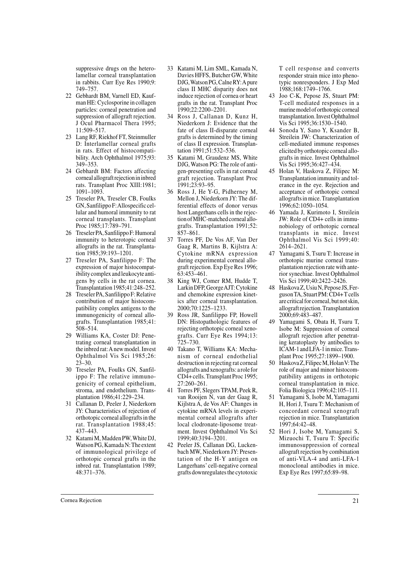suppressive drugs on the heterolamellar corneal transplantation in rabbits. Curr Eye Res 1990;9: 749–757.

- 22 Gebhardt BM, Varnell ED, Kaufman HE: Cyclosporine in collagen particles: corneal penetration and suppression of allograft rejection. J Ocul Pharmacol Thera 1995; 11:509–517.
- 23 Lang RF, Riekhof FT, Steinmuller D: Interlamellar corneal grafts in rats. Effect of histocompatibility. Arch Ophthalmol 1975;93: 349–353.
- 24 Gebhardt BM: Factors affecting corneal allograft rejection in inbred rats. Transplant Proc XIII:1981; 1091–1093.
- 25 Treseler PA, Treseler CB, Foulks GN, Sanfilippo F:Allospecific cellular and humoral immunity to rat corneal transplants. Transplant Proc 1985;17:789–791.
- 26 Treseler PA,Sanfilippo F:Humoral immunity to heterotopic corneal allografts in the rat. Transplantation 1985;39:193–1201.
- 27 Treseler PA, Sanfilippo F: The expression of major histocompatibility complex and leukocyte antigens by cells in the rat cornea. Transplantation 1985;41:248–252.
- 28 Treseler PA, Sanfilippo F: Relative contribution of major histocompatibility complex antigens to the immunogenicity of corneal allografts. Transplantation 1985;41: 508–514.
- 29 Williams KA, Coster DJ: Penetrating corneal transplantation in the inbred rat:A new model. Invest Ophthalmol Vis Sci 1985;26: 23–30.
- 30 Treseler PA, Foulks GN, Sanfilippo F: The relative immunogenicity of corneal epithelium, stroma, and endothelium. Transplantation 1986;41:229–234.
- 31 Callanan D, Peeler J, Niederkorn JY: Characteristics of rejection of orthotopic corneal allografts in the rat. Transplantation 1988;45: 437–443.
- 32 Katami M, Madden PW,White DJ, Watson PG, Kamada N: The extent of immunological privilege of orthotopic corneal grafts in the inbred rat. Transplantation 1989; 48:371–376.
- 33 Katami M, Lim SML, Kamada N, Davies HFFS, Butcher GW, White DJG,Watson PG, Calne RY:A pure class II MHC disparity does not induce rejection of cornea or heart grafts in the rat. Transplant Proc 1990;22:2200–2201.
- 34 Ross J, Callanan D, Kunz H, Niederkorn J: Evidence that the fate of class II-disparate corneal grafts is determined by the timing of class II expression. Transplantation 1991;51:532–536.
- 35 Katami M, Graudenz MS, White DJG, Watson PG: The role of antigen-presenting cells in rat corneal graft rejection. Transplant Proc 1991;23:93–95.
- 36 Ross J, He Y-G, Pidherney M, Mellon J, Niederkorn JY: The differential effects of donor versus host Langerhans cells in the rejection of MHC-matched corneal allografts. Transplantation 1991;52: 857–861.
- 37 Torres PF, De Vos AF, Van Der Gaag R, Martins B, Kijlstra A: Cytokine mRNA expression during experimental corneal allograft rejection. Exp Eye Res 1996; 63:453–461.
- 38 King WJ, Comer RM, Hudde T, Larkin DFP, George AJT: Cytokine and chemokine expression kinetics after corneal transplantation. 2000;70:1225–1233.
- 39 Ross JR, Sanfilippo FP, Howell DN: Histopathologic features of rejecting orthotopic corneal xenografts. Curr Eye Res 1994;13: 725–730.
- 40 Takano T, Williams KA: Mechanism of corneal endothelial destruction in rejecting rat corneal allografts and xenografts: a role for CD4+ cells. Transplant Proc 1995; 27:260–261.
- 41 Torres PF, Slegers TPAM, Peek R, van Rooijen N, van der Gaag R, Kijlstra A, de Vos AF: Changes in cytokine mRNA levels in experimental corneal allografts after local clodronate-liposome treatment. Invest Ophthalmol Vis Sci 1999;40:3194–3201.
- 42 Peeler JS, Callanan DG, Luckenbach MW, Niederkorn JY: Presentation of the H-Y antigen on Langerhans' cell-negative corneal grafts downregulates the cytotoxic

T cell response and converts responder strain mice into phenotypic nonresponders. J Exp Med 1988;168:1749–1766.

- 43 Joo C-K, Pepose JS, Stuart PM: T-cell mediated responses in a murinemodel of orthotopic corneal transplantation. Invest Ophthalmol Vis Sci 1995;36:1530–1540.
- 44 Sonoda Y, Sano Y, Ksander B, Streilein JW: Characterization of cell-mediated immune responses elicited by orthotopic corneal allografts in mice. Invest Ophthalmol Vis Sci 1995;36:427–434.
- 45 Holan V, Haskova Z, Filipec M: Transplantation immunity and tolerance in the eye. Rejection and acceptance of orthotopic corneal allografts in mice. Transplantation 1996;62:1050–1054.
- 46 Yamada J, Kurimoto I, Streilein JW: Role of CD4+ cells in immunobiology of orthotopic corneal transplants in mice. Invest Ophthalmol Vis Sci 1999;40: 2614–2621.
- 47 Yamagami S, Tsuru T: Increase in orthotopic murine corneal transplantation rejection rate with anterior synechiae. Invest Ophthalmol Vis Sci 1999;40:2422–2426.
- 48 Haskova Z, Usiu N, Pepose JS, Ferguson TA, Stuart PM: CD4+ T cells are critical for corneal, but not skin, allograft rejection. Transplantation 2000;69:483–487.
- 49 Yamagami S, Obata H, Tsuru T, Isobe M: Suppression of corneal allograft rejection after penetrating keratoplasty by antibodies to ICAM-1 and LFA-1 in mice. Transplant Proc 1995;27:1899–1900.
- 50 Haskova Z,Filipec M,Holan V:The role of major and minor histocompatibility antigens in orthotopic corneal transplantation in mice. Folia Biologica 1996;42:105–111.
- 51 Yamagami S, Isobe M, Yamagami H, Hori J, Tsuru T: Mechanism of concordant corneal xenograft rejection in mice. Transplantation 1997;64:42–48.
- 52 Hori J, Isobe M, Yamagami S, Mizuochi T, Tsuru T: Specific immunosuppression of corneal allograft rejection by combination of anti-VLA-4 and anti-LFA-1 monoclonal antibodies in mice. Exp Eye Res 1997;65:89–98.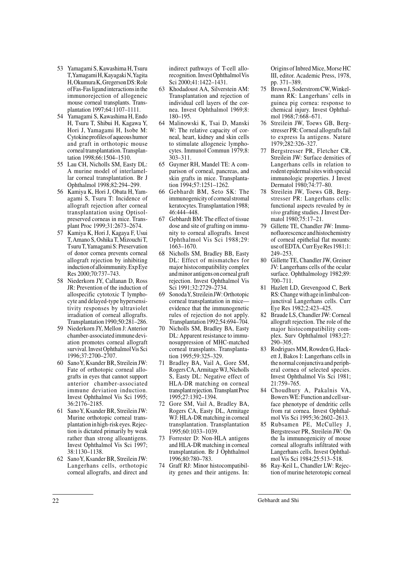- 53 Yamagami S, Kawashima H, Tsuru T,Yamagami H,Kayagaki N,Yagita H,Okumura K,Gregerson DS:Role of Fas-Fas ligand interactions in the immunorejection of allogeneic mouse corneal transplants. Transplantation 1997;64:1107–1111.
- 54 Yamagami S, Kawashima H, Endo H, Tsuru T, Shibui H, Kagawa Y, Hori J, Yamagami H, Isobe M: Cytokine profiles of aqueous humor and graft in orthotopic mouse corneal transplantation. Transplantation 1998;66:1504–1510.
- 55 Lau CH, Nicholls SM, Easty DL: A murine model of interlamellar corneal transplantation. Br J Ophthalmol 1998;82:294–299.
- 56 Kamiya K, Hori J, Obata H, Yamagami S, Tsuru T: Incidence of allograft rejection after corneal transplantation using Optisolpreserved corneas in mice. Transplant Proc 1999;31:2673–2674.
- 57 Kamiya K, Hori J, Kagaya F, Usui T,Amano S, Oshika T, Mizouchi T, Tsuru T,Yamagami S: Preservation of donor cornea prevents corneal allograft rejection by inhibiting induction of alloimmunity. Exp Eye Res 2000;70:737–743.
- 58 Niederkorn JY, Callanan D, Ross JR: Prevention of the induction of allospecific cytotoxic T lymphocyte and delayed-type hypersensitivity responses by ultraviolet irradiation of corneal allografts. Transplantation 1990;50:281–286.
- 59 Niederkorn JY, Mellon J: Anterior chamber-associated immune deviation promotes corneal allograft survival. Invest Ophthalmol Vis Sci 1996;37:2700–2707.
- 60 Sano Y, Ksander BR, Streilein JW: Fate of orthotopic corneal allografts in eyes that cannot support anterior chamber-associated immune deviation induction. Invest Ophthalmol Vis Sci 1995; 36:2176–2185.
- 61 Sano Y, Ksander BR, Streilein JW: Murine orthotopic corneal transplantation in high-risk eyes. Rejection is dictated primarily by weak rather than strong alloantigens. Invest Ophthalmol Vis Sci 1997; 38:1130–1138.
- 62 Sano Y, Ksander BR, Streilein JW: Langerhans cells, orthotopic corneal allografts, and direct and

indirect pathways of T-cell allorecognition. Invest Ophthalmol Vis Sci 2000;41:1422–1431.

- 63 Khodadoust AA, Silverstein AM: Transplantation and rejection of individual cell layers of the cornea. Invest Ophthalmol 1969;8: 180–195.
- 64 Malinowski K, Tsai D, Manski W: The relative capacity of corneal, heart, kidney and skin cells to stimulate allogeneic lymphocytes. Immunol Commun 1979;8: 303–311.
- 65 Guymer RH, Mandel TE: A comparison of corneal, pancreas, and skin grafts in mice. Transplantation 1994;57:1251–1262.
- 66 Gebhardt BM, Seto SK: The immunogenicity of corneal stromal keratocytes. Transplantation 1988; 46:444–448.
- 67 Gebhardt BM: The effect of tissue dose and site of grafting on immunity to corneal allografts. Invest Ophthalmol Vis Sci 1988;29: 1663–1670.
- 68 Nicholls SM, Bradley BB, Easty DL: Effect of mismatches for major histocompatibility complex and minor antigens on corneal graft rejection. Invest Ophthalmol Vis Sci 1991;32:2729–2734.
- 69 Sonoda Y, Streilein JW: Orthotopic corneal transplantation in mice evidence that the immunogenetic rules of rejection do not apply. Transplantation 1992;54:694–704.
- 70 Nicholls SM, Bradley BA, Easty DL: Apparent resistance to immunosuppression of MHC-matched corneal transplants. Transplantation 1995;59:325–329.
- 71 Bradley BA, Vail A, Gore SM, Rogers CA,Armitage WJ, Nicholls S, Easty DL: Negative effect of HLA-DR matching on corneal transplant rejection. Transplant Proc 1995;27:1392–1394.
- 72 Gore SM, Vail A, Bradley BA, Rogers CA, Easty DL, Armitage WJ: HLA-DR matching in corneal transplantation. Transplantation 1995;60:1033–1039.
- 73 Forrester D: Non-HLA antigens and HLA-DR matching in corneal transplantation. Br J Ophthalmol 1996;80:780–783.
- 74 Graff RJ: Minor histocompatibility genes and their antigens. In:

Origins of Inbred Mice, Morse HC III, editor. Academic Press, 1978, pp. 371–389.

- 75 Brown J, Soderstrom CW,Winkelmann RK: Langerhans' cells in guinea pig cornea: response to chemical injury. Invest Ophthalmol 1968;7:668–671.
- 76 Streilein JW, Toews GB, Bergstresser PR: Corneal allografts fail to express Ia antigens. Nature 1979;282:326–327.
- 77 Bergstresser PR, Fletcher CR, Streilein JW: Surface densities of Langerhans cells in relation to rodent epidermal sites with special immunologic properties. J Invest Dermatol 1980;74:77–80.
- 78 Streilein JW, Toews GB, Bergstresser PR: Langerhans cells: functional aspects revealed by *in vivo* grafting studies. J Invest Dermatol 1980;75:17–21.
- 79 Gillette TE, Chandler JW: Immunofluorescence and histochemistry of corneal epithelial flat mounts: use of EDTA. Curr Eye Res 1981;1: 249–253.
- 80 Gillette TE, Chandler JW, Greiner JV: Langerhans cells of the ocular surface. Ophthalmology 1982;89: 700–711.
- 81 Hazlett LD, Grevengood C, Berk RS:Change with age in limbal conjunctival Langerhans cells. Curr Eye Res 1982;2:423–425.
- 82 Braude LS, Chandler JW: Corneal allograft rejection. The role of the major histocompatibility complex. Surv Ophthalmol 1983;27: 290–305.
- 83 Rodrigues MM, Rowden G, Hackett J, Bakos I: Langerhans cells in the normal conjunctiva and peripheral cornea of selected species. Invest Ophthalmol Vis Sci 1981; 21:759–765.
- 84 Choudhury A, Pakalnis VA, Bowers WE: Function and cell surface phenotype of dendritic cells from rat cornea. Invest Ophthalmol Vis Sci 1995;36:2602–2613.
- 85 Rubsamen PE, McCulley J, Bergstresser PR, Streilein JW: On the Ia immunogenicity of mouse corneal allografts infiltrated with Langerhans cells. Invest Ophthalmol Vis Sci 1984;25:513–518.
- 86 Ray-Keil L, Chandler LW: Rejection of murine heterotopic corneal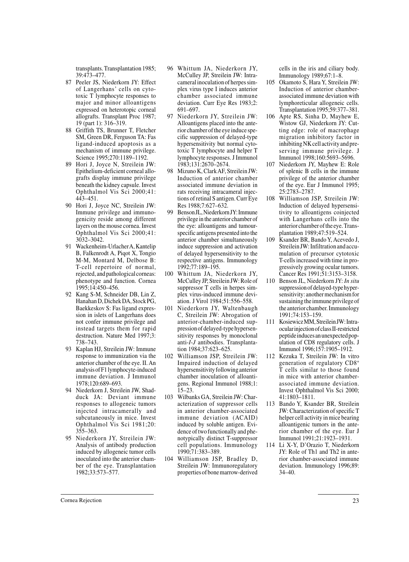transplants. Transplantation 1985; 39:473–477.

- 87 Peeler JS, Niederkorn JY: Effect of Langerhans' cells on cytotoxic T lymphocyte responses to major and minor alloantigens expressed on heterotopic corneal allografts. Transplant Proc 1987; 19 (part 1): 316–319.
- 88 Griffith TS, Brunner T, Fletcher SM, Green DR, Ferguson TA: Fas ligand-induced apoptosis as a mechanism of immune privilege. Science 1995;270:1189–1192.
- 89 Hori J, Joyce N, Streilein JW: Epithelium-deficient corneal allografts display immune privilege beneath the kidney capsule. Invest Ophthalmol Vis Sci 2000;41: 443–451.
- 90 Hori J, Joyce NC, Streilein JW: Immune privilege and immunogenicity reside among different layers on the mouse cornea. Invest Ophthalmol Vis Sci 2000;41: 3032–3042.
- 91 Wackenheim-Urlacher A, Kantelip B, Falkenrodt A, Piqot X, Tongio M-M, Montard M, Delbose B: T-cell repertoire of normal, rejected, and pathological corneas: phenotype and function. Cornea 1995;14:450–456.
- 92 Kang S-M, Schneider DB, Lin Z, Hanahan D, Dichek DA, Stock PG, Baekkeskov S: Fas ligand expression in islets of Langerhans does not confer immune privilege and instead targets them for rapid destruction. Nature Med 1997;3: 738–743.
- 93 Kaplan HJ, Streilein JW: Immune response to immunization via the anterior chamber of the eye. II. An analysis of F1 lymphocyte-induced immune deviation. J Immunol 1978;120:689–693.
- 94 Niederkorn J, Streilein JW, Shadduck JA: Deviant immune responses to allogeneic tumors injected intracamerally and subcutaneously in mice. Invest Ophthalmol Vis Sci 1981;20: 355–363.
- 95 Niederkorn JY, Streilein JW: Analysis of antibody production induced by allogeneic tumor cells inoculated into the anterior chamber of the eye. Transplantation 1982;33:573–577.
- 96 Whittum JA, Niederkorn JY, McCulley JP, Streilein JW: Intracameral inoculation of herpes simplex virus type I induces anterior chamber associated immune deviation. Curr Eye Res 1983;2: 691–697.
- 97 Niederkorn JY, Streilein JW: Alloantigens placed into the anterior chamber of the eye induce specific suppression of delayed-type hypersensitivity but normal cytotoxic T lymphocyte and helper T lymphocyte responses. J Immunol 1983;131:2670–2674.
- 98 Mizuno K, Clark AF, Streilein JW: Induction of anterior chamber associated immune deviation in rats receiving intracameral injections of retinal S antigen. Curr Eye Res 1988;7:627–632.
- 99 Benson JL,Niederkorn JY:Immune privilege in the anterior chamber of the eye: alloantigens and tumourspecific antigens presented into the anterior chamber simultaneously induce suppression and activation of delayed hypersensitivity to the respective antigens. Immunology 1992;77:189–195.
- 100 Whittum JA, Niederkorn JY, McCulley JP, Streilein JW: Role of suppressor T cells in herpes simplex virus-induced immune deviation. J Virol 1984;51:556–558.
- 101 Niederkorn JY, Waltenbaugh C, Streilein JW: Abrogation of anterior-chamber-induced suppression of delayed-type hypersensitivity responses by monoclonal anti-*I*-*J* antibodies. Transplantation 1984;37:623–625.
- 102 Williamson JSP, Streilein JW: Impaired induction of delayed hypersensitivity following anterior chamber inoculation of alloantigens. Regional Immunol 1988;1: 15–23.
- 103 Wilbanks GA, Streilein JW: Characterization of suppressor cells in anterior chamber-associated immune deviation (ACAID) induced by soluble antigen. Evidence of two functionally and phenotypically distinct T-suppressor cell populations. Immunology 1990;71:383–389.
- 104 Williamson JSP, Bradley D, Streilein JW: Immunoregulatory properties of bone marrow-derived

cells in the iris and ciliary body. Immunology 1989;67:1–8.

- 105 Okamoto S, Hara Y, Streilein JW: Induction of anterior chamberassociated immune deviation with lymphoreticular allogeneic cells. Transplantation 1995;59:377–381.
- 106 Apte RS, Sinha D, Mayhew E, Wistow GJ, Niederkorn JY: Cutting edge: role of macrophage migration inhibitory factor in inhibiting NK cell activity and preserving immune privilege. J Immunol 1998;160:5693–5696.
- 107 Niederkorn JY, Mayhew E: Role of splenic B cells in the immune privilege of the anterior chamber of the eye. Eur J Immunol 1995; 25:2783–2787.
- 108 Williamson JSP, Streilein JW: Induction of delayed hypersensitivity to alloantigens coinjected with Langerhans cells into the anterior chamber of the eye. Transplantation 1989;47:519–524.
- 109 Ksander BR, Bando Y, Acevedo J, Streilein JW: Infiltration and accumulation of precursor cytotoxic T-cells increased with time in progressively growing ocular tumors. Cancer Res 1991;51:3153–3158.
- 110 Benson JL, Niederkorn JY: *In situ* suppression of delayed-type hypersensitivity: another mechanism for sustaining the immune privilege of the anterior chamber. Immunology 1991;74:153–159.
- 111 Kosiewicz MM,Streilein JW:Intraocular injection of class II-restricted peptide induces an unexpected population of CD8 regulatory cells. J Immunol 1996;157:1905–1912.
- 112 Kezuka T, Streilein JW: In vitro generation of regulatory CD8<sup>+</sup> T cells similar to those found in mice with anterior chamberassociated immune deviation. Invest Ophthalmol Vis Sci 2000; 41:1803–1811.
- 113 Bando Y, Ksander BR, Streilein JW: Characterization of specific T helper cell activity in mice bearing alloantigenic tumors in the anterior chamber of the eye. Eur J Immunol 1991;21:1923–1931.
- 114 Li X-Y, D'Orazio T, Niederkorn JY: Role of Th1 and Th2 in anterior chamber-associated immune deviation. Immunology 1996;89: 34–40.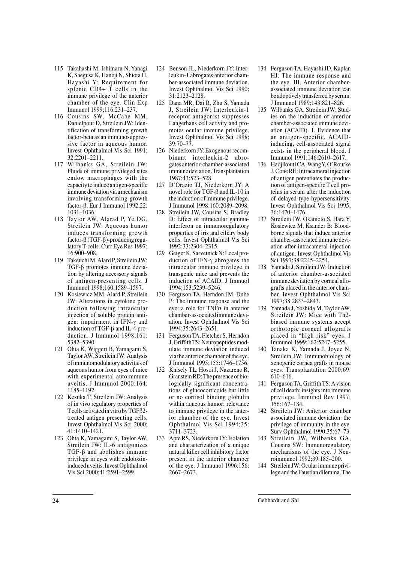- 115 Takahashi M, Ishimaru N, Yanagi K, Saegusa K, Haneji N, Shiota H, Hayashi Y: Requirement for splenic  $CD4+T$  cells in the immune privilege of the anterior chamber of the eye. Clin Exp Immunol 1999;116:231–237.
- 116 Cousins SW, McCabe MM, Danielpour D, Streilein JW: Identification of transforming growth factor-beta as an immunosuppressive factor in aqueous humor. Invest Ophthalmol Vis Sci 1991; 32:2201–2211.
- 117 Wilbanks GA, Streilein JW: Fluids of immune privileged sites endow macrophages with the capacity to induce antigen-specific immune deviation via a mechanism involving transforming growth factor-β. Eur J Immunol 1992;22: 1031–1036.
- 118 Taylor AW, Alarad P, Ye DG, Streilein JW: Aqueous humor induces transforming growth factor-β (TGF-β)-producing regulatory T-cells. Curr Eye Res 1997; 16:900–908.
- 119 Takeuchi M,Alard P, Streilein JW: TGF-β promotes immune deviation by altering accessory signals of antigen-presenting cells. J Immunol 1998;160:1589–1597.
- 120 Kosiewicz MM, Alard P, Streilein JW: Alterations in cytokine production following intraocular injection of soluble protein antigen: impairment in IFN-γ and induction of TGF-β and IL-4 production. J Immunol 1998;161: 5382–5390.
- 121 Ohta K, Wiggert B, Yamagami S, Taylor AW, Streilein JW: Analysis of immunomodulatory activities of aqueous humor from eyes of mice with experimental autoimmune uveitis. J Immunol 2000;164: 1185–1192.
- 122 Kezuka T, Streilein JW: Analysis of in vivo regulatory properties of T cells activated in vitro by TGFβ2 treated antigen presenting cells. Invest Ophthalmol Vis Sci 2000; 41:1410–1421.
- 123 Ohta K, Yamagami S, Taylor AW, Streilein JW: IL-6 antagonizes TGF-β and abolishes immune privilege in eyes with endotoxininduced uveitis. Invest Ophthalmol Vis Sci 2000;41:2591–2599.
- 124 Benson JL, Niederkorn JY: Interleukin-1 abrogates anterior chamber-associated immune deviation. Invest Ophthalmol Vis Sci 1990; 31:2123–2128.
- 125 Dana MR, Dai R, Zhu S, Yamada J, Streilein JW: Interleukin-1 receptor antagonist suppresses Langerhans cell activity and promotes ocular immune privilege. Invest Ophthalmol Vis Sci 1998; 39:70–77.
- 126 Niederkorn JY: Exogenous recombinant interleukin-2 abrogates anterior-chamber-associated immune deviation. Transplantation 1987;43:523–528.
- 127 D'Orazio TJ, Niederkorn JY: A novel role for TGF-β and IL-10 in the induction of immune privilege. J Immunol 1998;160:2089–2098.
- 128 Streilein JW, Cousins S, Bradley D: Effect of intraocular gammainterferon on immunoregulatory properties of iris and ciliary body cells. Invest Ophthalmol Vis Sci 1992;33:2304–2315.
- 129 Geiger K, Sarvetnick N: Local production of IFN-γ abrogates the intraocular immune privilege in transgenic mice and prevents the induction of ACAID. J Immuol 1994;153:5239–5246.
- 130 Ferguson TA, Herndon JM, Dube P: The immune response and the eye: a role for TNFα in anterior chamber-associated immune deviation. Invest Ophthalmol Vis Sci 1994;35:2643–2651.
- 131 Ferguson TA, Fletcher S, Herndon J, Griffith TS: Neuropeptides modulate immune deviation induced via the anterior chamber of the eye. J Immunol 1995;155:1746–1756.
- 132 Knisely TL, Hosoi J, Nazareno R, Granstein RD:The presence of biologically significant concentrations of glucocorticoids but little or no cortisol binding globulin within aqueous humor: relevance to immune privilege in the anterior chamber of the eye. Invest Ophthalmol Vis Sci 1994;35: 3711–3723.
- 133 Apte RS, Niederkorn JY: Isolation and characterization of a unique natural killer cell inhibitory factor present in the anterior chamber of the eye. J Immunol 1996;156: 2667–2673.
- 134 Ferguson TA, Hayashi JD, Kaplan HJ: The immune response and the eye. III. Anterior chamberassociated immune deviation can be adoptively transferred by serum. J Immunol 1989;143:821–826.
- 135 Wilbanks GA, Streilein JW: Studies on the induction of anterior chamber-associated immune deviation (ACAID). 1. Evidence that an antigen-specific, ACAIDinducing, cell-associated signal exists in the peripheral blood. J Immunol 1991;146:2610–2617.
- 136 Hadjikouti CA,Wang Y, O'Rourke J, Cone RE: Intracameral injection of antigen potentiates the production of antigen-specific T cell proteins in serum after the induction of delayed-type hypersensitivity. Invest Ophthalmol Vis Sci 1995; 36:1470–1476.
- 137 Streilein JW, Okamoto S, Hara Y, Kosiewicz M, Ksander B: Bloodborne signals that induce anterior chamber-associated immune deviation after intracameral injection of antigen. Invest Ophthalmol Vis Sci 1997;38:2245–2254.
- 138 Yamada J, Streilein JW: Induction of anterior chamber-associated immune deviation by corneal allografts placed in the anterior chamber. Invest Ophthalmol Vis Sci 1997;38:2833–2843.
- 139 Yamada J, Yoshida M, Taylor AW, Streilein JW: Mice with Th2 biased immune systems accept orthotopic corneal allografts placed in "high risk" eyes. J Immunol 1999;162:5247–5255.
- 140 Tanaka K, Yamada J, Joyce N, Streilein JW: Immunobiology of xenogenic cornea grafts in mouse eyes. Transplantation 2000;69: 610–616.
- 141 Ferguson TA, Griffith TS:A vision of cell death: insights into immune privilege. Immunol Rev 1997; 156:167–184.
- 142 Streilein JW: Anterior chamber associated immune deviation: the privilege of immunity in the eye. Surv Ophthalmol 1990;35:67–73.
- 143 Streilein JW, Wilbanks GA, Cousins SW: Immunoregulatory mechanisms of the eye. J Neuroimmunol 1992;39:185–200.
- 144 Streilein JW: Ocular immune privilege and the Faustian dilemma. The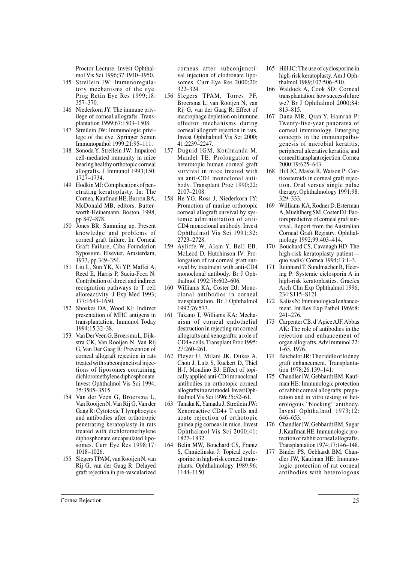Proctor Lecture. Invest Ophthalmol Vis Sci 1996;37:1940–1950.

- 145 Streilein JW: Immunoregulatory mechanisms of the eye. Prog Retin Eye Res 1999;18: 357–370.
- 146 Niederkorn JY: The immune privilege of corneal allografts. Transplantation 1999;67:1503–1508.
- 147 Streilein JW: Immunologic privilege of the eye. Springer Semin Immunopathol 1999;21:95–111.
- 148 Sonoda Y, Streilein JW: Impaired cell-mediated immunity in mice bearing healthy orthotopic corneal allografts. J Immunol 1993;150: 1727–1734.
- 149 Hodkin MJ: Complications of penetrating keratoplasty. In: The Cornea, Kaufman HE, Barron BA, McDonald MB, editors. Butterworth-Heinemann, Boston, 1998, pp 847–878.
- 150 Jones BR: Summing up. Present knowledge and problems of corneal graft failure. In: Corneal Graft Failure, Ciba Foundation Syposium. Elsevier, Amsterdam, 1973, pp 349–354.
- 151 Liu L, Sun YK, Xi YP, Maffei A, Reed E, Harris P, Suciu-Foca N: Contribution of direct and indirect recognition pathways to T cell alloreactivity. J Exp Med 1993; 177:1643–1650.
- 152 Shoskes DA, Wood KJ: Indirect presentation of MHC antigens in transplantation. Immunol Today 1994;15:32–38.
- 153 Van Der Veen G, Broersma L, Dijkstra CK, Van Rooijen N, Van Rij G, Van Der Gaag R: Prevention of corneal allograft rejection in rats treated with subconjunctival injections of liposomes containing dichloromethylene diphosphonate. Invest Ophthalmol Vis Sci 1994; 35:3505–3515.
- 154 Van der Veen G, Broersma L, Van Rooijen N, Van Rij G, Van der Gaag R: Cytotoxic T lymphocytes and antibodies after orthotropic penetrating keratoplasty in rats treated with dichloromethylene diphosphonate encapsulated liposomes. Curr Eye Res 1998;17: 1018–1026.
- 155 Slegers TPAM, van Rooijen N, van Rij G, van der Gaag R: Delayed graft rejection in pre-vascularized

corneas after subconjunctival injection of clodronate liposomes. Curr Eye Res 2000;20: 322–324.

- 156 Slegers TPAM, Torres PF, Broersma L, van Rooijen N, van Rij G, van der Gaag R: Effect of macrophage depletion on immune effector mechanisms during corneal allograft rejection in rats. Invest Ophthalmol Vis Sci 2000; 41:2239–2247.
- 157 Duguid IGM, Koulmanda M, Mandel TE: Prolongation of heterotopic human corneal graft survival in mice treated with an anti-CD4 monoclonal antibody. Transplant Proc 1990;22: 2107–2108.
- 158 He YG, Ross J, Niederkorn JY: Promotion of murine orthotopic corneal allograft survival by systemic administration of anti-CD4 monoclonal antibody. Invest Ophthalmol Vis Sci 1991;32: 2723–2728.
- 159 Ayliffe W, Alam Y, Bell EB, McLeod D, Hutchinson IV: Prolongation of rat corneal graft survival by treatment with anti-CD4 monoclonal antibody. Br J Ophthalmol 1992;76:602–606.
- 160 Williams KA, Coster DJ: Monoclonal antibodies in corneal transplantation. Br J Ophthalmol 1992;76:577.
- 161 Takano T, Williams KA: Mechanism of corneal endothelial destruction in rejecting rat corneal allografts and xenografts: a role of CD4+ cells. Transplant Proc 1995; 27:260–261.
- 162 Pleyer U, Milani JK, Dukes A, Chou J, Lutz S, Ruckert D, Thiel H-J, Mondino BJ: Effect of topically applied anti-CD4 monoclonal antibodies on orthotopic corneal allografts in a rat model. Invest Ophthalmol Vis Sci 1996;35:52–61.
- 163 Tanaka K,Yamada J, Streilein JW: Xenoreactive CD4+ T cells and acute rejection of orthotopic guinea pig corneas in mice. Invest Ophthalmol Vis Sci 2000;41: 1827–1832.
- 164 Belin MW, Bouchard CS, Frantz S, Chmielinska J: Topical cyclosporine in high-risk corneal transplants. Ophthalmology 1989;96:  $1144 - 1150$ .
- 165 Hill JC: The use of cyclosporine in high-risk keratoplasty. Am J Ophthalmol 1989;107:506–510.
- 166 Waldock A, Cook SD: Corneal transplantation: how successful are we? Br J Ophthalmol 2000;84: 813–815.
- 167 Dana MR, Qian Y, Hamrah P: Twenty-five-year panorama of corneal immunology. Emerging concepts in the immunopathogenesis of microbial keratitis, peripheral ulcerative keratitis, and corneal transplant rejection. Cornea 2000;19:625–643.
- 168 Hill JC, Maske R, Watson P: Corticosteroids in corneal graft rejection. Oral versus single pulse therapy. Ophthalmology 1991;98: 329–333.
- 169 Williams KA, Rodner D, Esterman A, Muehlberg SM, Coster DJ: Factors predictive of corneal graft survival. Report from the Australian Corneal Graft Registry. Ophthalmology 1992;99:403–414.
- 170 Bouchard CS, Cavanagh HD: The high-risk keratoplasty patient quo vadis? Cornea 1994;13:1–3.
- 171 Reinhard T, Sundmacher R, Heering P: Systemic ciclosporin A in high-risk keratoplasties. Graefes Arch Clin Exp Ophthalmol 1996; 234:S115–S121.
- 172 Kaliss N: Immunological enhancement. Int Rev Exp Pathol 1969;8: 241–276.
- 173 Carpenter CB, d'Apice AJF,Abbas AK: The role of antibodies in the rejection and enhancement of organ allografts. Adv Immunol 22: 1-65, 1976.
- 174 Batchelor JR: The riddle of kidney graft enhancement. Transplantation 1978;26:139–141.
- 175 Chandler JW, Gebhardt BM, Kaufman HE: Immunologic protection of rabbit corneal allografts: preparation and in vitro testing of heterologous "blocking" antibody. Invest Ophthalmol 1973;12: 646–653.
- 176 Chandler JW, Gebhardt BM, Sugar J,Kaufman HE:Immunologic protection of rabbit corneal allografts. Transplantation 1974;17:146–148.
- 177 Binder PS, Gebhardt BM, Chandler JW, Kaufman HE: Immunologic protection of rat corneal antibodies with heterologous